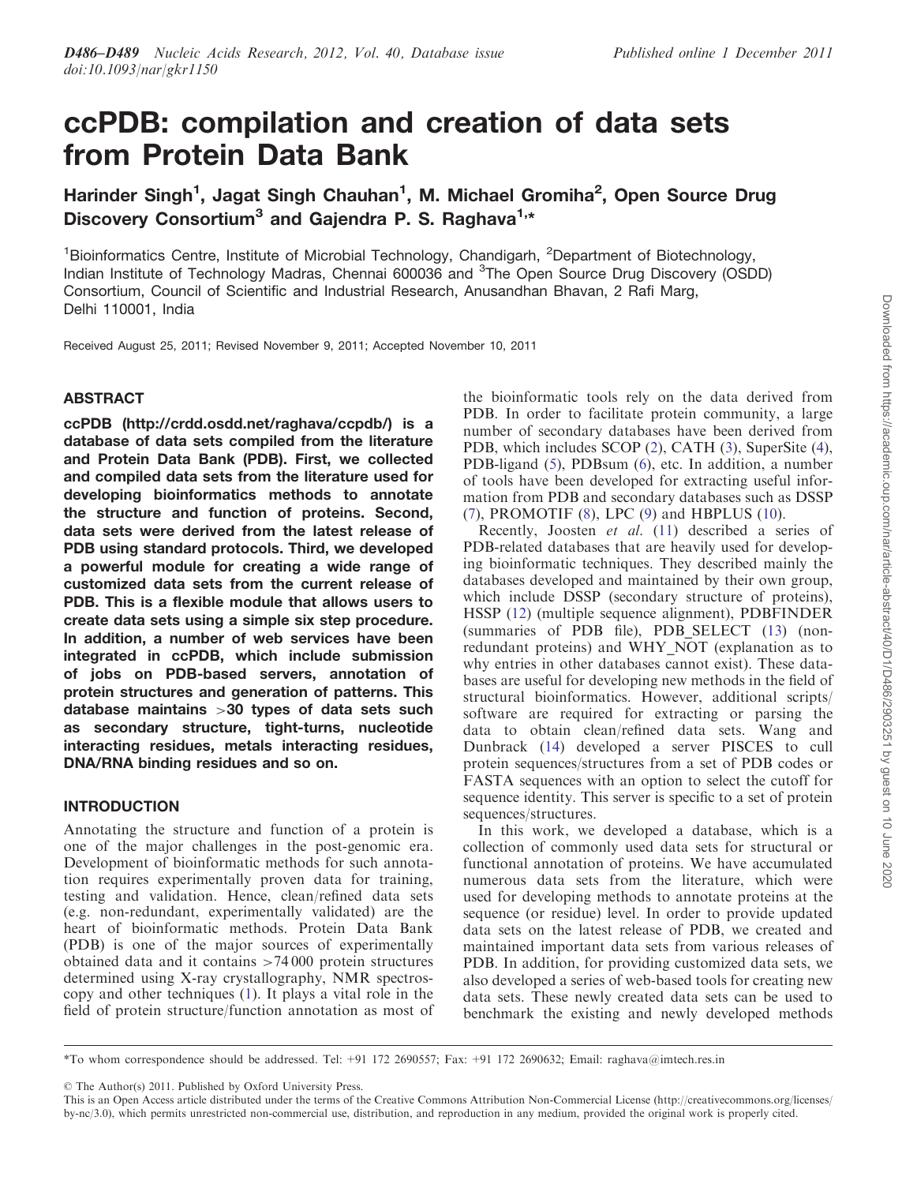# ccPDB: compilation and creation of data sets from Protein Data Bank

Harinder Singh<sup>1</sup>, Jagat Singh Chauhan<sup>1</sup>, M. Michael Gromiha<sup>2</sup>, Open Source Drug Discovery Consortium<sup>3</sup> and Gajendra P. S. Raghava<sup>1,\*</sup>

<sup>1</sup>Bioinformatics Centre, Institute of Microbial Technology, Chandigarh, <sup>2</sup>Department of Biotechnology, Indian Institute of Technology Madras, Chennai 600036 and <sup>3</sup>The Open Source Drug Discovery (OSDD) Consortium, Council of Scientific and Industrial Research, Anusandhan Bhavan, 2 Rafi Marg, Delhi 110001, India

Received August 25, 2011; Revised November 9, 2011; Accepted November 10, 2011

# ABSTRACT

ccPDB (<http://crdd.osdd.net/raghava/ccpdb/>) is a database of data sets compiled from the literature and Protein Data Bank (PDB). First, we collected and compiled data sets from the literature used for developing bioinformatics methods to annotate the structure and function of proteins. Second, data sets were derived from the latest release of PDB using standard protocols. Third, we developed a powerful module for creating a wide range of customized data sets from the current release of PDB. This is a flexible module that allows users to create data sets using a simple six step procedure. In addition, a number of web services have been integrated in ccPDB, which include submission of jobs on PDB-based servers, annotation of protein structures and generation of patterns. This database maintains >30 types of data sets such as secondary structure, tight-turns, nucleotide interacting residues, metals interacting residues, DNA/RNA binding residues and so on.

# INTRODUCTION

Annotating the structure and function of a protein is one of the major challenges in the post-genomic era. Development of bioinformatic methods for such annotation requires experimentally proven data for training, testing and validation. Hence, clean/refined data sets (e.g. non-redundant, experimentally validated) are the heart of bioinformatic methods. Protein Data Bank (PDB) is one of the major sources of experimentally obtained data and it contains >74 000 protein structures determined using X-ray crystallography, NMR spectroscopy and other techniques ([1](#page-3-0)). It plays a vital role in the field of protein structure/function annotation as most of

the bioinformatic tools rely on the data derived from PDB. In order to facilitate protein community, a large number of secondary databases have been derived from PDB, which includes SCOP [\(2](#page-3-0)), CATH ([3\)](#page-3-0), SuperSite [\(4](#page-3-0)), PDB-ligand ([5\)](#page-3-0), PDBsum ([6\)](#page-3-0), etc. In addition, a number of tools have been developed for extracting useful information from PDB and secondary databases such as DSSP ([7\)](#page-3-0), PROMOTIF ([8\)](#page-3-0), LPC ([9\)](#page-3-0) and HBPLUS [\(10](#page-3-0)).

Recently, Joosten et al. ([11\)](#page-3-0) described a series of PDB-related databases that are heavily used for developing bioinformatic techniques. They described mainly the databases developed and maintained by their own group, which include DSSP (secondary structure of proteins), HSSP ([12\)](#page-3-0) (multiple sequence alignment), PDBFINDER (summaries of PDB file), PDB\_SELECT ([13](#page-3-0)) (nonredundant proteins) and WHY\_NOT (explanation as to why entries in other databases cannot exist). These databases are useful for developing new methods in the field of structural bioinformatics. However, additional scripts/ software are required for extracting or parsing the data to obtain clean/refined data sets. Wang and Dunbrack [\(14](#page-3-0)) developed a server PISCES to cull protein sequences/structures from a set of PDB codes or FASTA sequences with an option to select the cutoff for sequence identity. This server is specific to a set of protein sequences/structures.

In this work, we developed a database, which is a collection of commonly used data sets for structural or functional annotation of proteins. We have accumulated numerous data sets from the literature, which were used for developing methods to annotate proteins at the sequence (or residue) level. In order to provide updated data sets on the latest release of PDB, we created and maintained important data sets from various releases of PDB. In addition, for providing customized data sets, we also developed a series of web-based tools for creating new data sets. These newly created data sets can be used to benchmark the existing and newly developed methods

© The Author(s) 2011. Published by Oxford University Press.

<sup>\*</sup>To whom correspondence should be addressed. Tel: +91 172 2690557; Fax: +91 172 2690632; Email: raghava@imtech.res.in

This is an Open Access article distributed under the terms of the Creative Commons Attribution Non-Commercial License (http://creativecommons.org/licenses/ by-nc/3.0), which permits unrestricted non-commercial use, distribution, and reproduction in any medium, provided the original work is properly cited.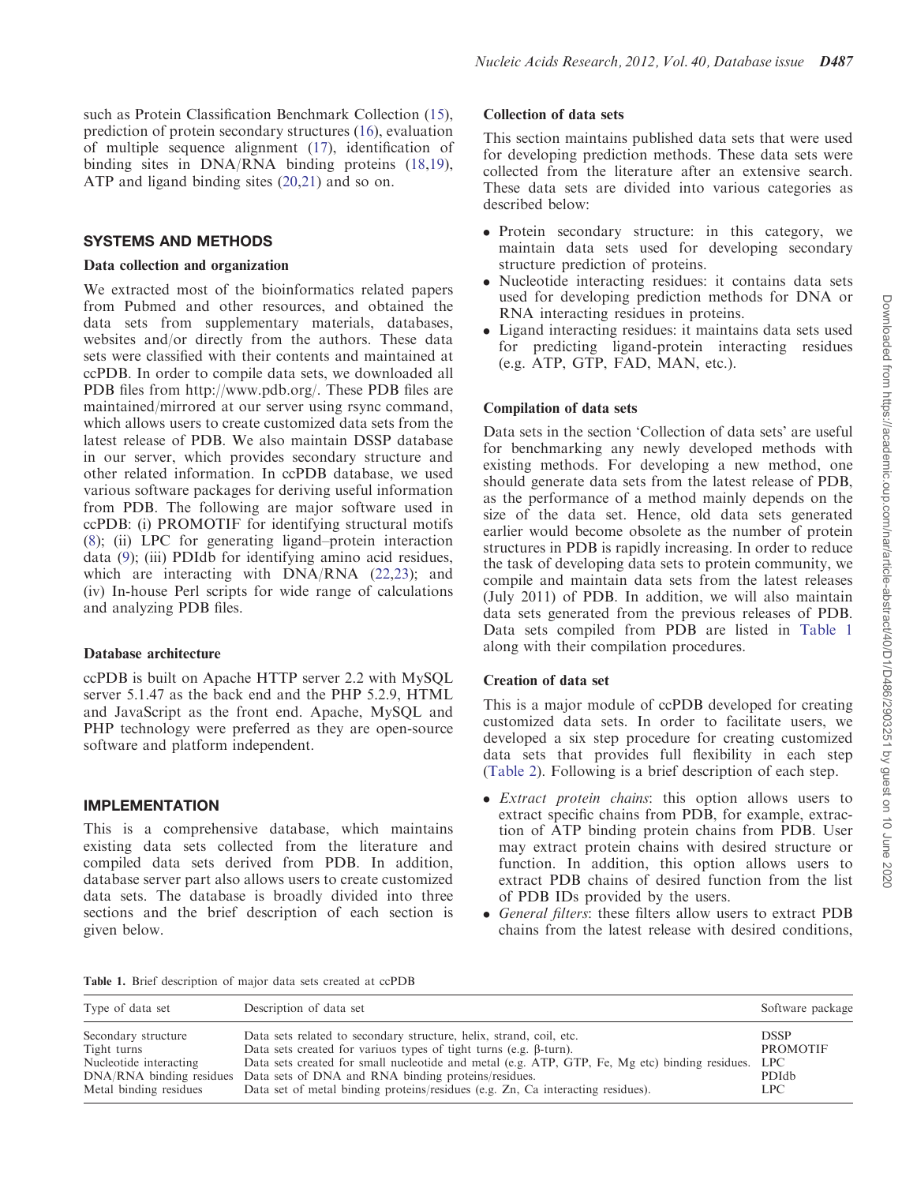such as Protein Classification Benchmark Collection ([15\)](#page-3-0), prediction of protein secondary structures ([16\)](#page-3-0), evaluation of multiple sequence alignment [\(17](#page-3-0)), identification of binding sites in DNA/RNA binding proteins [\(18](#page-3-0),[19\)](#page-3-0), ATP and ligand binding sites ([20,21](#page-3-0)) and so on.

# SYSTEMS AND METHODS

#### Data collection and organization

We extracted most of the bioinformatics related papers from Pubmed and other resources, and obtained the data sets from supplementary materials, databases, websites and/or directly from the authors. These data sets were classified with their contents and maintained at ccPDB. In order to compile data sets, we downloaded all PDB files from [http://www.pdb.org/.](http://www.pdb.org/) These PDB files are maintained/mirrored at our server using rsync command, which allows users to create customized data sets from the latest release of PDB. We also maintain DSSP database in our server, which provides secondary structure and other related information. In ccPDB database, we used various software packages for deriving useful information from PDB. The following are major software used in ccPDB: (i) PROMOTIF for identifying structural motifs [\(8](#page-3-0)); (ii) LPC for generating ligand–protein interaction data ([9\)](#page-3-0); (iii) PDIdb for identifying amino acid residues, which are interacting with DNA/RNA ([22,23](#page-3-0)); and (iv) In-house Perl scripts for wide range of calculations and analyzing PDB files.

## Database architecture

ccPDB is built on Apache HTTP server 2.2 with MySQL server 5.1.47 as the back end and the PHP 5.2.9, HTML and JavaScript as the front end. Apache, MySQL and PHP technology were preferred as they are open-source software and platform independent.

## IMPLEMENTATION

This is a comprehensive database, which maintains existing data sets collected from the literature and compiled data sets derived from PDB. In addition, database server part also allows users to create customized data sets. The database is broadly divided into three sections and the brief description of each section is given below.

#### Collection of data sets

This section maintains published data sets that were used for developing prediction methods. These data sets were collected from the literature after an extensive search. These data sets are divided into various categories as described below:

- . Protein secondary structure: in this category, we maintain data sets used for developing secondary structure prediction of proteins.
- . Nucleotide interacting residues: it contains data sets used for developing prediction methods for DNA or RNA interacting residues in proteins.
- . Ligand interacting residues: it maintains data sets used for predicting ligand-protein interacting residues (e.g. ATP, GTP, FAD, MAN, etc.).

## Compilation of data sets

Data sets in the section 'Collection of data sets' are useful for benchmarking any newly developed methods with existing methods. For developing a new method, one should generate data sets from the latest release of PDB, as the performance of a method mainly depends on the size of the data set. Hence, old data sets generated earlier would become obsolete as the number of protein structures in PDB is rapidly increasing. In order to reduce the task of developing data sets to protein community, we compile and maintain data sets from the latest releases (July 2011) of PDB. In addition, we will also maintain data sets generated from the previous releases of PDB. Data sets compiled from PDB are listed in Table 1 along with their compilation procedures.

## Creation of data set

This is a major module of ccPDB developed for creating customized data sets. In order to facilitate users, we developed a six step procedure for creating customized data sets that provides full flexibility in each step [\(Table 2\)](#page-2-0). Following is a brief description of each step.

- . Extract protein chains: this option allows users to extract specific chains from PDB, for example, extraction of ATP binding protein chains from PDB. User may extract protein chains with desired structure or function. In addition, this option allows users to extract PDB chains of desired function from the list of PDB IDs provided by the users.
- . General filters: these filters allow users to extract PDB chains from the latest release with desired conditions,

Table 1. Brief description of major data sets created at ccPDB

| Type of data set         | Description of data set                                                                        | Software package |
|--------------------------|------------------------------------------------------------------------------------------------|------------------|
| Secondary structure      | Data sets related to secondary structure, helix, strand, coil, etc.                            | <b>DSSP</b>      |
| Tight turns              | Data sets created for variuos types of tight turns (e.g. $\beta$ -turn).                       | <b>PROMOTIF</b>  |
| Nucleotide interacting   | Data sets created for small nucleotide and metal (e.g. ATP, GTP, Fe, Mg etc) binding residues. | LPC.             |
| DNA/RNA binding residues | Data sets of DNA and RNA binding proteins/residues.                                            | PDIdb            |
| Metal binding residues   | Data set of metal binding proteins/residues (e.g. Zn, Ca interacting residues).                | <b>LPC</b>       |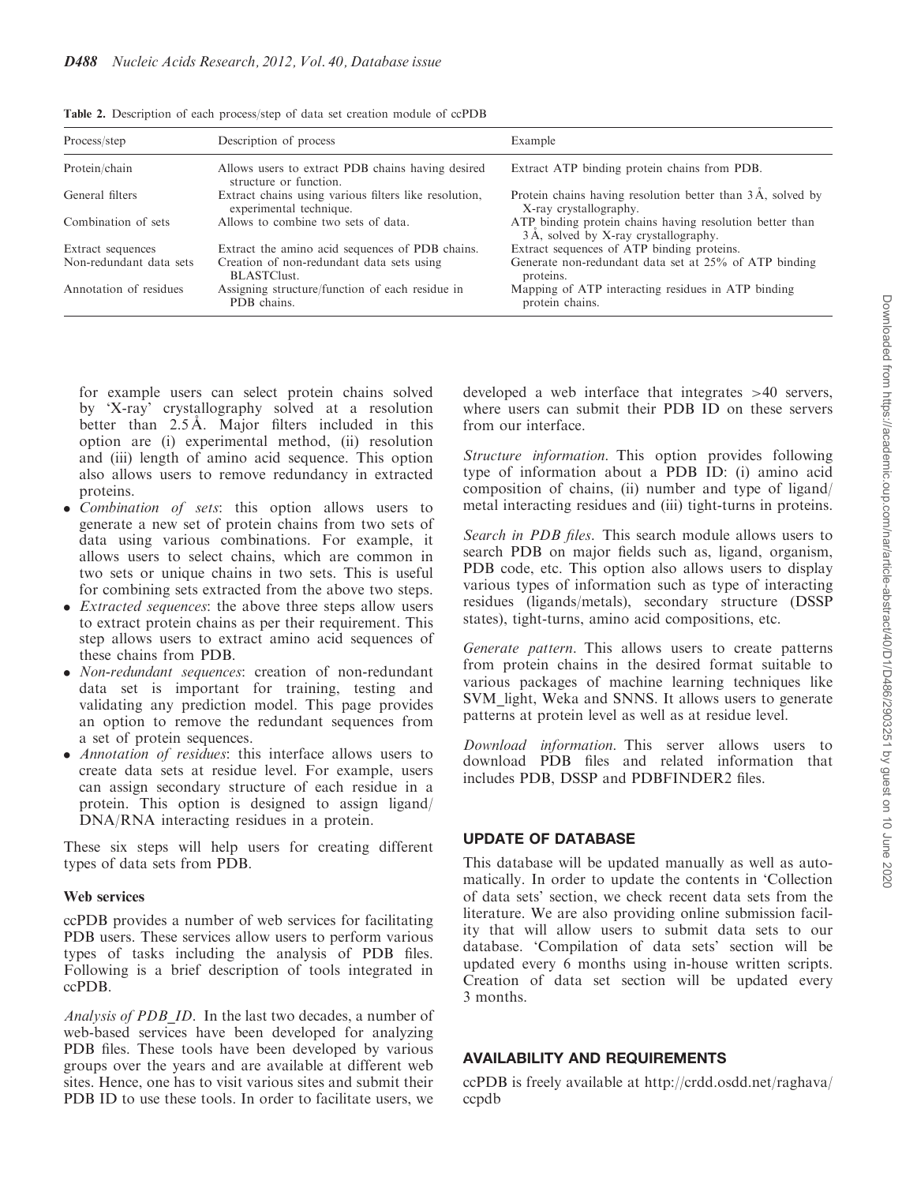| Process/step            | Description of process                                                           | Example                                                                                          |
|-------------------------|----------------------------------------------------------------------------------|--------------------------------------------------------------------------------------------------|
| Protein/chain           | Allows users to extract PDB chains having desired<br>structure or function.      | Extract ATP binding protein chains from PDB.                                                     |
| General filters         | Extract chains using various filters like resolution,<br>experimental technique. | Protein chains having resolution better than 3 A, solved by<br>X-ray crystallography.            |
| Combination of sets     | Allows to combine two sets of data.                                              | ATP binding protein chains having resolution better than<br>3Å, solved by X-ray crystallography. |
| Extract sequences       | Extract the amino acid sequences of PDB chains.                                  | Extract sequences of ATP binding proteins.                                                       |
| Non-redundant data sets | Creation of non-redundant data sets using<br><b>BLASTClust.</b>                  | Generate non-redundant data set at 25% of ATP binding<br>proteins.                               |
| Annotation of residues  | Assigning structure/function of each residue in<br>PDB chains.                   | Mapping of ATP interacting residues in ATP binding<br>protein chains.                            |

<span id="page-2-0"></span>Table 2. Description of each process/step of data set creation module of ccPDB

for example users can select protein chains solved by 'X-ray' crystallography solved at a resolution better than  $2.5 \text{ Å}$ . Major filters included in this option are (i) experimental method, (ii) resolution and (iii) length of amino acid sequence. This option also allows users to remove redundancy in extracted proteins.

- . Combination of sets: this option allows users to generate a new set of protein chains from two sets of data using various combinations. For example, it allows users to select chains, which are common in two sets or unique chains in two sets. This is useful for combining sets extracted from the above two steps.
- *Extracted sequences*: the above three steps allow users to extract protein chains as per their requirement. This step allows users to extract amino acid sequences of these chains from PDB.
- . Non-redundant sequences: creation of non-redundant data set is important for training, testing and validating any prediction model. This page provides an option to remove the redundant sequences from a set of protein sequences.
- *Annotation of residues*: this interface allows users to create data sets at residue level. For example, users can assign secondary structure of each residue in a protein. This option is designed to assign ligand/ DNA/RNA interacting residues in a protein.

These six steps will help users for creating different types of data sets from PDB.

## Web services

ccPDB provides a number of web services for facilitating PDB users. These services allow users to perform various types of tasks including the analysis of PDB files. Following is a brief description of tools integrated in ccPDB.

Analysis of PDB\_ID. In the last two decades, a number of web-based services have been developed for analyzing PDB files. These tools have been developed by various groups over the years and are available at different web sites. Hence, one has to visit various sites and submit their PDB ID to use these tools. In order to facilitate users, we

developed a web interface that integrates >40 servers, where users can submit their PDB ID on these servers from our interface.

Structure information. This option provides following type of information about a PDB ID: (i) amino acid composition of chains, (ii) number and type of ligand/ metal interacting residues and (iii) tight-turns in proteins.

Search in PDB files. This search module allows users to search PDB on major fields such as, ligand, organism, PDB code, etc. This option also allows users to display various types of information such as type of interacting residues (ligands/metals), secondary structure (DSSP states), tight-turns, amino acid compositions, etc.

Generate pattern. This allows users to create patterns from protein chains in the desired format suitable to various packages of machine learning techniques like SVM light, Weka and SNNS. It allows users to generate patterns at protein level as well as at residue level.

Download information. This server allows users to download PDB files and related information that includes PDB, DSSP and PDBFINDER2 files.

## UPDATE OF DATABASE

This database will be updated manually as well as automatically. In order to update the contents in 'Collection of data sets' section, we check recent data sets from the literature. We are also providing online submission facility that will allow users to submit data sets to our database. 'Compilation of data sets' section will be updated every 6 months using in-house written scripts. Creation of data set section will be updated every 3 months.

# AVAILABILITY AND REQUIREMENTS

ccPDB is freely available at [http://crdd.osdd.net/raghava/](http://crdd.osdd.net/raghava/ccpdb) [ccpdb](http://crdd.osdd.net/raghava/ccpdb)